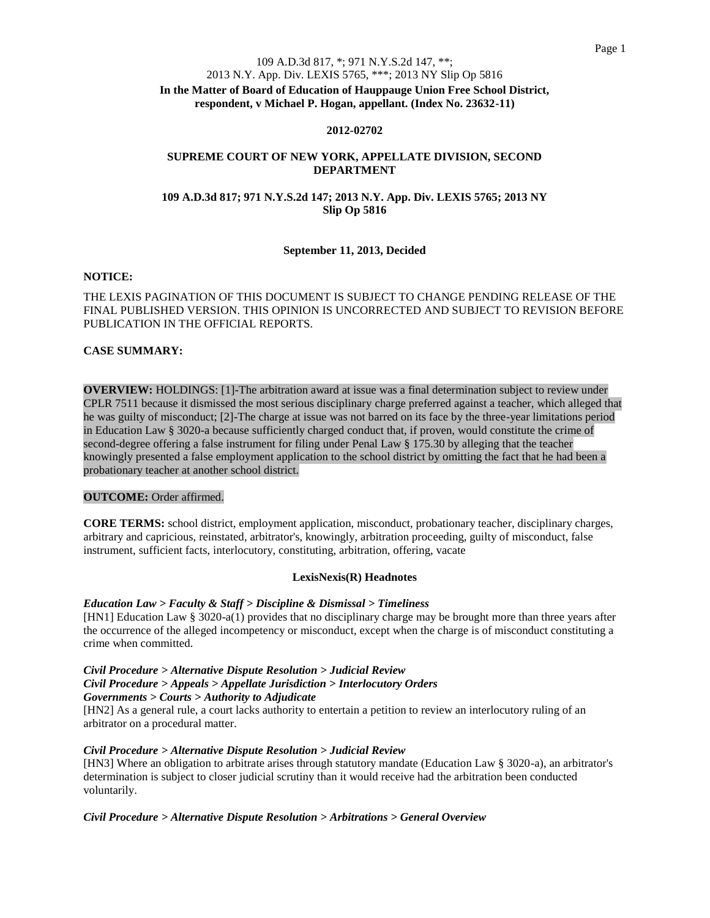## 109 A.D.3d 817, \*; 971 N.Y.S.2d 147, \*\*;

#### 2013 N.Y. App. Div. LEXIS 5765, \*\*\*; 2013 NY Slip Op 5816

**In the Matter of Board of Education of Hauppauge Union Free School District, respondent, v Michael P. Hogan, appellant. (Index No. 23632-11)**

#### **2012-02702**

## **SUPREME COURT OF NEW YORK, APPELLATE DIVISION, SECOND DEPARTMENT**

## **109 A.D.3d 817; 971 N.Y.S.2d 147; 2013 N.Y. App. Div. LEXIS 5765; 2013 NY Slip Op 5816**

## **September 11, 2013, Decided**

## **NOTICE:**

## THE LEXIS PAGINATION OF THIS DOCUMENT IS SUBJECT TO CHANGE PENDING RELEASE OF THE FINAL PUBLISHED VERSION. THIS OPINION IS UNCORRECTED AND SUBJECT TO REVISION BEFORE PUBLICATION IN THE OFFICIAL REPORTS.

## **CASE SUMMARY:**

**OVERVIEW:** HOLDINGS: [1]-The arbitration award at issue was a final determination subject to review under CPLR 7511 because it dismissed the most serious disciplinary charge preferred against a teacher, which alleged that he was guilty of misconduct; [2]-The charge at issue was not barred on its face by the three-year limitations period in Education Law § 3020-a because sufficiently charged conduct that, if proven, would constitute the crime of second-degree offering a false instrument for filing under Penal Law § 175.30 by alleging that the teacher knowingly presented a false employment application to the school district by omitting the fact that he had been a probationary teacher at another school district.

#### **OUTCOME:** Order affirmed.

**CORE TERMS:** school district, employment application, misconduct, probationary teacher, disciplinary charges, arbitrary and capricious, reinstated, arbitrator's, knowingly, arbitration proceeding, guilty of misconduct, false instrument, sufficient facts, interlocutory, constituting, arbitration, offering, vacate

#### **LexisNexis(R) Headnotes**

#### *Education Law > Faculty & Staff > Discipline & Dismissal > Timeliness*

[HN1] Education Law § 3020-a(1) provides that no disciplinary charge may be brought more than three years after the occurrence of the alleged incompetency or misconduct, except when the charge is of misconduct constituting a crime when committed.

#### *Civil Procedure > Alternative Dispute Resolution > Judicial Review Civil Procedure > Appeals > Appellate Jurisdiction > Interlocutory Orders Governments > Courts > Authority to Adjudicate*

[HN2] As a general rule, a court lacks authority to entertain a petition to review an interlocutory ruling of an arbitrator on a procedural matter.

#### *Civil Procedure > Alternative Dispute Resolution > Judicial Review*

[HN3] Where an obligation to arbitrate arises through statutory mandate (Education Law § 3020-a), an arbitrator's determination is subject to closer judicial scrutiny than it would receive had the arbitration been conducted voluntarily.

#### *Civil Procedure > Alternative Dispute Resolution > Arbitrations > General Overview*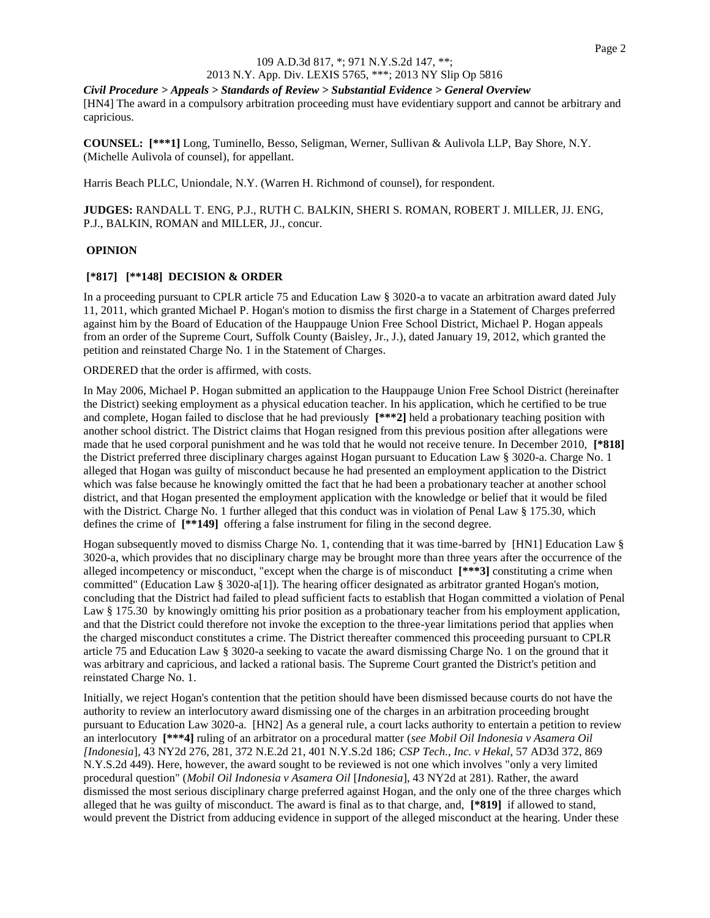## 109 A.D.3d 817, \*; 971 N.Y.S.2d 147, \*\*;

# 2013 N.Y. App. Div. LEXIS 5765, \*\*\*; 2013 NY Slip Op 5816

*Civil Procedure > Appeals > Standards of Review > Substantial Evidence > General Overview* [HN4] The award in a compulsory arbitration proceeding must have evidentiary support and cannot be arbitrary and capricious.

**COUNSEL: [\*\*\*1]** Long, Tuminello, Besso, Seligman, Werner, Sullivan & Aulivola LLP, Bay Shore, N.Y. (Michelle Aulivola of counsel), for appellant.

Harris Beach PLLC, Uniondale, N.Y. (Warren H. Richmond of counsel), for respondent.

**JUDGES:** RANDALL T. ENG, P.J., RUTH C. BALKIN, SHERI S. ROMAN, ROBERT J. MILLER, JJ. ENG, P.J., BALKIN, ROMAN and MILLER, JJ., concur.

#### **OPINION**

## **[\*817] [\*\*148] DECISION & ORDER**

In a proceeding pursuant to CPLR article 75 and Education Law § 3020-a to vacate an arbitration award dated July 11, 2011, which granted Michael P. Hogan's motion to dismiss the first charge in a Statement of Charges preferred against him by the Board of Education of the Hauppauge Union Free School District, Michael P. Hogan appeals from an order of the Supreme Court, Suffolk County (Baisley, Jr., J.), dated January 19, 2012, which granted the petition and reinstated Charge No. 1 in the Statement of Charges.

ORDERED that the order is affirmed, with costs.

In May 2006, Michael P. Hogan submitted an application to the Hauppauge Union Free School District (hereinafter the District) seeking employment as a physical education teacher. In his application, which he certified to be true and complete, Hogan failed to disclose that he had previously **[\*\*\*2]** held a probationary teaching position with another school district. The District claims that Hogan resigned from this previous position after allegations were made that he used corporal punishment and he was told that he would not receive tenure. In December 2010, **[\*818]** the District preferred three disciplinary charges against Hogan pursuant to Education Law § 3020-a. Charge No. 1 alleged that Hogan was guilty of misconduct because he had presented an employment application to the District which was false because he knowingly omitted the fact that he had been a probationary teacher at another school district, and that Hogan presented the employment application with the knowledge or belief that it would be filed with the District. Charge No. 1 further alleged that this conduct was in violation of Penal Law § 175.30, which defines the crime of **[\*\*149]** offering a false instrument for filing in the second degree.

Hogan subsequently moved to dismiss Charge No. 1, contending that it was time-barred by [HN1] Education Law § 3020-a, which provides that no disciplinary charge may be brought more than three years after the occurrence of the alleged incompetency or misconduct, "except when the charge is of misconduct **[\*\*\*3]** constituting a crime when committed" (Education Law § 3020-a[1]). The hearing officer designated as arbitrator granted Hogan's motion, concluding that the District had failed to plead sufficient facts to establish that Hogan committed a violation of Penal Law § 175.30 by knowingly omitting his prior position as a probationary teacher from his employment application, and that the District could therefore not invoke the exception to the three-year limitations period that applies when the charged misconduct constitutes a crime. The District thereafter commenced this proceeding pursuant to CPLR article 75 and Education Law § 3020-a seeking to vacate the award dismissing Charge No. 1 on the ground that it was arbitrary and capricious, and lacked a rational basis. The Supreme Court granted the District's petition and reinstated Charge No. 1.

Initially, we reject Hogan's contention that the petition should have been dismissed because courts do not have the authority to review an interlocutory award dismissing one of the charges in an arbitration proceeding brought pursuant to Education Law 3020-a. [HN2] As a general rule, a court lacks authority to entertain a petition to review an interlocutory **[\*\*\*4]** ruling of an arbitrator on a procedural matter (*see Mobil Oil Indonesia v Asamera Oil [Indonesia*], 43 NY2d 276, 281, 372 N.E.2d 21, 401 N.Y.S.2d 186; *CSP Tech., Inc. v Hekal*, 57 AD3d 372, 869 N.Y.S.2d 449). Here, however, the award sought to be reviewed is not one which involves "only a very limited procedural question" (*Mobil Oil Indonesia v Asamera Oil* [*Indonesia*], 43 NY2d at 281). Rather, the award dismissed the most serious disciplinary charge preferred against Hogan, and the only one of the three charges which alleged that he was guilty of misconduct. The award is final as to that charge, and, **[\*819]** if allowed to stand, would prevent the District from adducing evidence in support of the alleged misconduct at the hearing. Under these